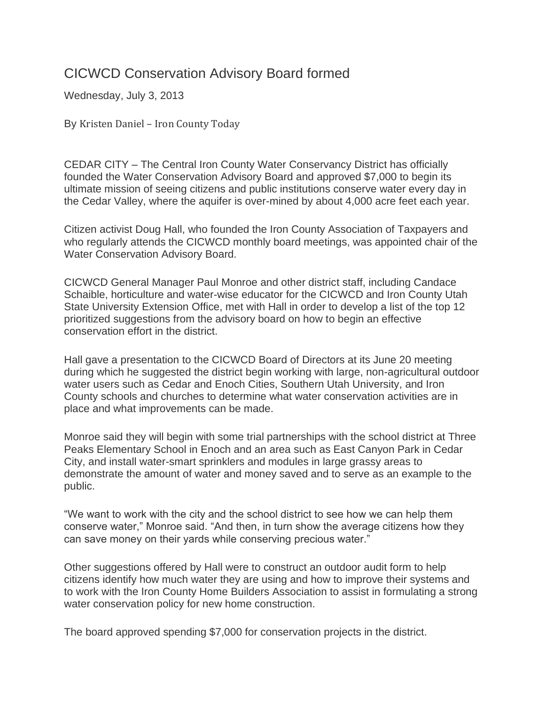## CICWCD Conservation Advisory Board formed

Wednesday, July 3, 2013

By Kristen Daniel – Iron County Today

CEDAR CITY – The Central Iron County Water Conservancy District has officially founded the Water Conservation Advisory Board and approved \$7,000 to begin its ultimate mission of seeing citizens and public institutions conserve water every day in the Cedar Valley, where the aquifer is over-mined by about 4,000 acre feet each year.

Citizen activist Doug Hall, who founded the Iron County Association of Taxpayers and who regularly attends the CICWCD monthly board meetings, was appointed chair of the Water Conservation Advisory Board.

CICWCD General Manager Paul Monroe and other district staff, including Candace Schaible, horticulture and water-wise educator for the CICWCD and Iron County Utah State University Extension Office, met with Hall in order to develop a list of the top 12 prioritized suggestions from the advisory board on how to begin an effective conservation effort in the district.

Hall gave a presentation to the CICWCD Board of Directors at its June 20 meeting during which he suggested the district begin working with large, non-agricultural outdoor water users such as Cedar and Enoch Cities, Southern Utah University, and Iron County schools and churches to determine what water conservation activities are in place and what improvements can be made.

Monroe said they will begin with some trial partnerships with the school district at Three Peaks Elementary School in Enoch and an area such as East Canyon Park in Cedar City, and install water-smart sprinklers and modules in large grassy areas to demonstrate the amount of water and money saved and to serve as an example to the public.

"We want to work with the city and the school district to see how we can help them conserve water," Monroe said. "And then, in turn show the average citizens how they can save money on their yards while conserving precious water."

Other suggestions offered by Hall were to construct an outdoor audit form to help citizens identify how much water they are using and how to improve their systems and to work with the Iron County Home Builders Association to assist in formulating a strong water conservation policy for new home construction.

The board approved spending \$7,000 for conservation projects in the district.